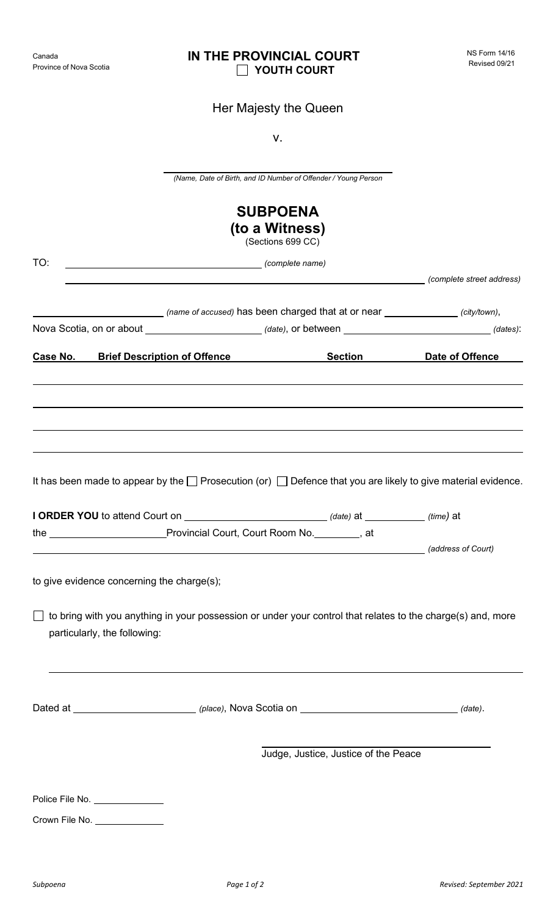|                                            |                                     | ν.                                                                                                                      |                           |  |
|--------------------------------------------|-------------------------------------|-------------------------------------------------------------------------------------------------------------------------|---------------------------|--|
|                                            |                                     | (Name, Date of Birth, and ID Number of Offender / Young Person                                                          |                           |  |
|                                            |                                     | <b>SUBPOENA</b><br>(to a Witness)<br>(Sections 699 CC)                                                                  |                           |  |
| TO:                                        |                                     | complete name) and the complete name)                                                                                   |                           |  |
|                                            |                                     | (name of accused) has been charged that at or near (city/town),                                                         | (complete street address) |  |
|                                            |                                     | Nova Scotia, on or about ______________________________(date), or between _________________________(dates):             |                           |  |
| Case No.                                   | <b>Brief Description of Offence</b> | <b>Section Section</b>                                                                                                  | Date of Offence           |  |
|                                            |                                     |                                                                                                                         |                           |  |
|                                            |                                     |                                                                                                                         |                           |  |
|                                            |                                     |                                                                                                                         |                           |  |
|                                            |                                     | It has been made to appear by the $\Box$ Prosecution (or) $\Box$ Defence that you are likely to give material evidence. |                           |  |
| the                                        |                                     | _Provincial Court, Court Room No.________, at                                                                           |                           |  |
|                                            |                                     | (address of Court) and the contract of the contract of the contract of Court) and the contract of Court)                |                           |  |
| to give evidence concerning the charge(s); |                                     |                                                                                                                         |                           |  |
| particularly, the following:               |                                     | $\Box$ to bring with you anything in your possession or under your control that relates to the charge(s) and, more      |                           |  |
|                                            |                                     |                                                                                                                         |                           |  |
|                                            |                                     | Judge, Justice, Justice of the Peace                                                                                    |                           |  |
| Police File No. ______________             |                                     |                                                                                                                         |                           |  |
| Crown File No. ______________              |                                     |                                                                                                                         |                           |  |
|                                            |                                     |                                                                                                                         |                           |  |

## Province of Nova Scotia

Canada

## **IN THE PROVINCIAL COURT YOUTH COURT**

Her Majesty the Queen